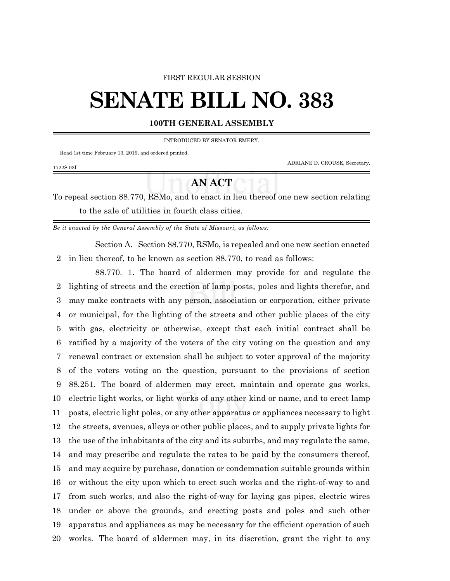#### FIRST REGULAR SESSION

# **SENATE BILL NO. 383**

### **100TH GENERAL ASSEMBLY**

INTRODUCED BY SENATOR EMERY.

Read 1st time February 13, 2019, and ordered printed.

1722S.03I

ADRIANE D. CROUSE, Secretary.

## **AN ACT**

To repeal section 88.770, RSMo, and to enact in lieu thereof one new section relating to the sale of utilities in fourth class cities.

*Be it enacted by the General Assembly of the State of Missouri, as follows:*

Section A. Section 88.770, RSMo, is repealed and one new section enacted in lieu thereof, to be known as section 88.770, to read as follows:

88.770. 1. The board of aldermen may provide for and regulate the lighting of streets and the erection of lamp posts, poles and lights therefor, and may make contracts with any person, association or corporation, either private or municipal, for the lighting of the streets and other public places of the city with gas, electricity or otherwise, except that each initial contract shall be ratified by a majority of the voters of the city voting on the question and any renewal contract or extension shall be subject to voter approval of the majority of the voters voting on the question, pursuant to the provisions of section 88.251. The board of aldermen may erect, maintain and operate gas works, electric light works, or light works of any other kind or name, and to erect lamp posts, electric light poles, or any other apparatus or appliances necessary to light the streets, avenues, alleys or other public places, and to supply private lights for the use of the inhabitants of the city and its suburbs, and may regulate the same, and may prescribe and regulate the rates to be paid by the consumers thereof, and may acquire by purchase, donation or condemnation suitable grounds within or without the city upon which to erect such works and the right-of-way to and from such works, and also the right-of-way for laying gas pipes, electric wires under or above the grounds, and erecting posts and poles and such other apparatus and appliances as may be necessary for the efficient operation of such works. The board of aldermen may, in its discretion, grant the right to any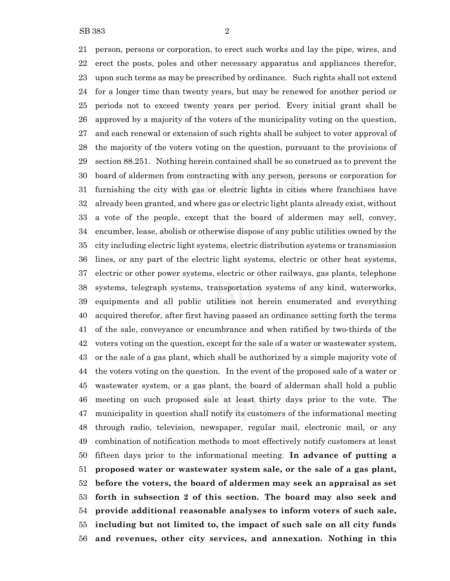person, persons or corporation, to erect such works and lay the pipe, wires, and erect the posts, poles and other necessary apparatus and appliances therefor, upon such terms as may be prescribed by ordinance. Such rights shall not extend for a longer time than twenty years, but may be renewed for another period or periods not to exceed twenty years per period. Every initial grant shall be approved by a majority of the voters of the municipality voting on the question, and each renewal or extension of such rights shall be subject to voter approval of the majority of the voters voting on the question, pursuant to the provisions of section 88.251. Nothing herein contained shall be so construed as to prevent the board of aldermen from contracting with any person, persons or corporation for furnishing the city with gas or electric lights in cities where franchises have already been granted, and where gas or electric light plants already exist, without a vote of the people, except that the board of aldermen may sell, convey, encumber, lease, abolish or otherwise dispose of any public utilities owned by the city including electric light systems, electric distribution systems or transmission lines, or any part of the electric light systems, electric or other heat systems, electric or other power systems, electric or other railways, gas plants, telephone systems, telegraph systems, transportation systems of any kind, waterworks, equipments and all public utilities not herein enumerated and everything acquired therefor, after first having passed an ordinance setting forth the terms of the sale, conveyance or encumbrance and when ratified by two-thirds of the voters voting on the question, except for the sale of a water or wastewater system, or the sale of a gas plant, which shall be authorized by a simple majority vote of the voters voting on the question. In the event of the proposed sale of a water or wastewater system, or a gas plant, the board of alderman shall hold a public meeting on such proposed sale at least thirty days prior to the vote. The municipality in question shall notify its customers of the informational meeting through radio, television, newspaper, regular mail, electronic mail, or any combination of notification methods to most effectively notify customers at least fifteen days prior to the informational meeting. **In advance of putting a proposed water or wastewater system sale, or the sale of a gas plant, before the voters, the board of aldermen may seek an appraisal as set forth in subsection 2 of this section. The board may also seek and provide additional reasonable analyses to inform voters of such sale, including but not limited to, the impact of such sale on all city funds and revenues, other city services, and annexation. Nothing in this**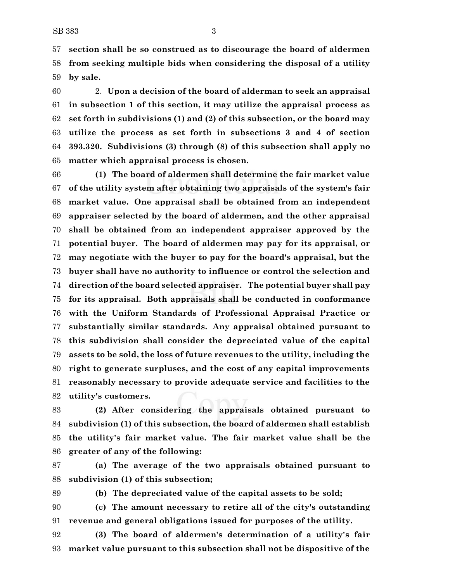**section shall be so construed as to discourage the board of aldermen from seeking multiple bids when considering the disposal of a utility by sale.**

 2. **Upon a decision of the board of alderman to seek an appraisal in subsection 1 of this section, it may utilize the appraisal process as set forth in subdivisions (1) and (2) of this subsection, or the board may utilize the process as set forth in subsections 3 and 4 of section 393.320. Subdivisions (3) through (8) of this subsection shall apply no matter which appraisal process is chosen.**

 **(1) The board of aldermen shall determine the fair market value of the utility system after obtaining two appraisals of the system's fair market value. One appraisal shall be obtained from an independent appraiser selected by the board of aldermen, and the other appraisal shall be obtained from an independent appraiser approved by the potential buyer. The board of aldermen may pay for its appraisal, or may negotiate with the buyer to pay for the board's appraisal, but the buyer shall have no authority to influence or control the selection and direction of the board selected appraiser. The potential buyer shall pay for its appraisal. Both appraisals shall be conducted in conformance with the Uniform Standards of Professional Appraisal Practice or substantially similar standards. Any appraisal obtained pursuant to this subdivision shall consider the depreciated value of the capital assets to be sold, the loss of future revenues to the utility, including the right to generate surpluses, and the cost of any capital improvements reasonably necessary to provide adequate service and facilities to the utility's customers.**

 **(2) After considering the appraisals obtained pursuant to subdivision (1) of this subsection, the board of aldermen shall establish the utility's fair market value. The fair market value shall be the greater of any of the following:**

 **(a) The average of the two appraisals obtained pursuant to subdivision (1) of this subsection;**

**(b) The depreciated value of the capital assets to be sold;**

 **(c) The amount necessary to retire all of the city's outstanding revenue and general obligations issued for purposes of the utility.**

 **(3) The board of aldermen's determination of a utility's fair market value pursuant to this subsection shall not be dispositive of the**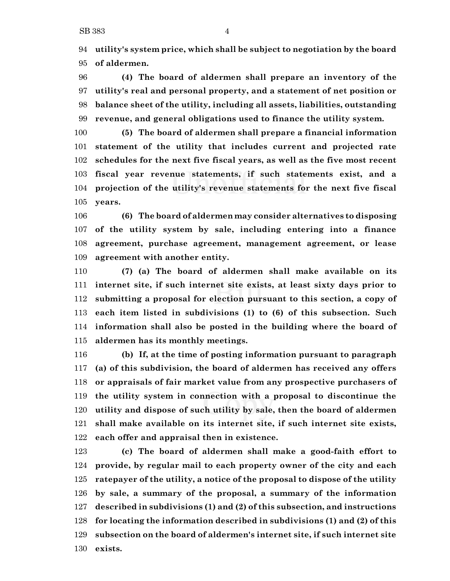**utility's system price, which shall be subject to negotiation by the board of aldermen.**

 **(4) The board of aldermen shall prepare an inventory of the utility's real and personal property, and a statement of net position or balance sheet of the utility, including all assets, liabilities, outstanding revenue, and general obligations used to finance the utility system.**

 **(5) The board of aldermen shall prepare a financial information statement of the utility that includes current and projected rate schedules for the next five fiscal years, as well as the five most recent fiscal year revenue statements, if such statements exist, and a projection of the utility's revenue statements for the next five fiscal years.**

 **(6) The board of aldermen may consider alternatives to disposing of the utility system by sale, including entering into a finance agreement, purchase agreement, management agreement, or lease agreement with another entity.**

 **(7) (a) The board of aldermen shall make available on its internet site, if such internet site exists, at least sixty days prior to submitting a proposal for election pursuant to this section, a copy of each item listed in subdivisions (1) to (6) of this subsection. Such information shall also be posted in the building where the board of aldermen has its monthly meetings.**

 **(b) If, at the time of posting information pursuant to paragraph (a) of this subdivision, the board of aldermen has received any offers or appraisals of fair market value from any prospective purchasers of the utility system in connection with a proposal to discontinue the utility and dispose of such utility by sale, then the board of aldermen shall make available on its internet site, if such internet site exists, each offer and appraisal then in existence.**

 **(c) The board of aldermen shall make a good-faith effort to provide, by regular mail to each property owner of the city and each ratepayer of the utility, a notice of the proposal to dispose of the utility by sale, a summary of the proposal, a summary of the information described in subdivisions (1) and (2) of this subsection, and instructions for locating the information described in subdivisions (1) and (2) of this subsection on the board of aldermen's internet site, if such internet site exists.**